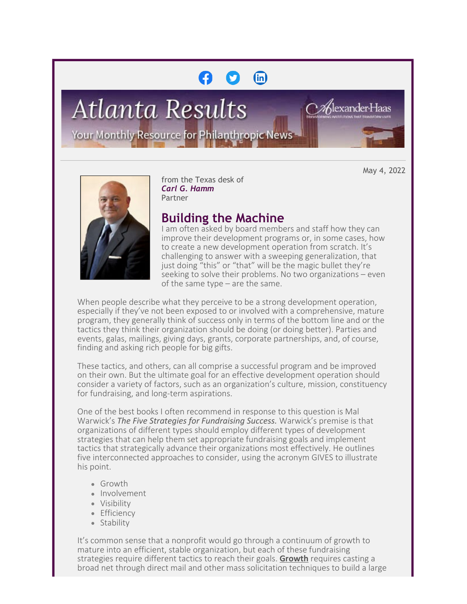# $(n)$

**Atlanta Results** 

Your Monthly Resource for Philanthropic News

May 4, 2022

a∕Alexander∙Haas



from the Texas desk of *Carl G. Hamm* Partner

# **Building the Machine**

I am often asked by board members and staff how they can improve their development programs or, in some cases, how to create a new development operation from scratch. It's challenging to answer with a sweeping generalization, that just doing "this" or "that" will be the magic bullet they're seeking to solve their problems. No two organizations – even of the same type – are the same.

When people describe what they perceive to be a strong development operation, especially if they've not been exposed to or involved with a comprehensive, mature program, they generally think of success only in terms of the bottom line and or the tactics they think their organization should be doing (or doing better). Parties and events, galas, mailings, giving days, grants, corporate partnerships, and, of course, finding and asking rich people for big gifts.

These tactics, and others, can all comprise a successful program and be improved on their own. But the ultimate goal for an effective development operation should consider a variety of factors, such as an organization's culture, mission, constituency for fundraising, and long-term aspirations.

One of the best books I often recommend in response to this question is Mal Warwick's *The Five Strategies for Fundraising Success.* Warwick's premise is that organizations of different types should employ different types of development strategies that can help them set appropriate fundraising goals and implement tactics that strategically advance their organizations most effectively. He outlines five interconnected approaches to consider, using the acronym GIVES to illustrate his point.

- Growth
- Involvement
- Visibility
- Efficiency
- Stability

It's common sense that a nonprofit would go through a continuum of growth to mature into an efficient, stable organization, but each of these fundraising strategies require different tactics to reach their goals. **Growth** requires casting a broad net through direct mail and other mass solicitation techniques to build a large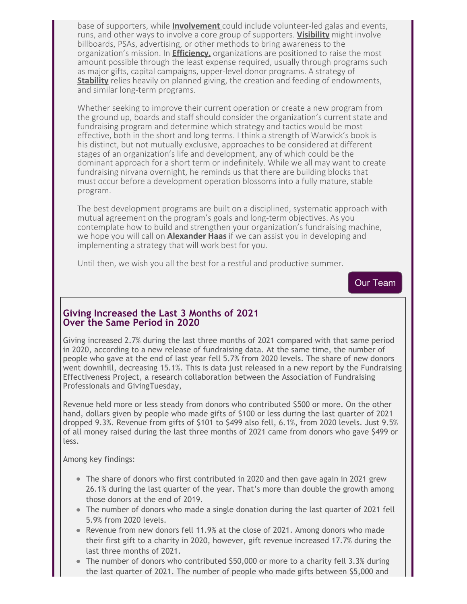base of supporters, while **Involvement** could include volunteer-led galas and events, runs, and other ways to involve a core group of supporters. **Visibility** might involve billboards, PSAs, advertising, or other methods to bring awareness to the organization's mission. In **Efficiency,** organizations are positioned to raise the most amount possible through the least expense required, usually through programs such as major gifts, capital campaigns, upper-level donor programs. A strategy of **Stability** relies heavily on planned giving, the creation and feeding of endowments, and similar long-term programs.

Whether seeking to improve their current operation or create a new program from the ground up, boards and staff should consider the organization's current state and fundraising program and determine which strategy and tactics would be most effective, both in the short and long terms. I think a strength of Warwick's book is his distinct, but not mutually exclusive, approaches to be considered at different stages of an organization's life and development, any of which could be the dominant approach for a short term or indefinitely. While we all may want to create fundraising nirvana overnight, he reminds us that there are building blocks that must occur before a development operation blossoms into a fully mature, stable program.

The best development programs are built on a disciplined, systematic approach with mutual agreement on the program's goals and long-term objectives. As you contemplate how to build and strengthen your organization's fundraising machine, we hope you will call on **Alexander Haas** if we can assist you in developing and implementing a strategy that will work best for you.

Until then, we wish you all the best for a restful and productive summer.

[Our Team](https://cl.exct.net/?qs=b19eb9ffc0b5df491fdd5968751598c76238d5c07b609ca02d734f49c449248cb681a6404cf5328f550cfcf90661fb94)

#### **Giving Increased the Last 3 Months of 2021 Over the Same Period in 2020**

Giving increased 2.7% during the last three months of 2021 compared with that same period in 2020, according to a new release of fundraising data. At the same time, the number of people who gave at the end of last year fell 5.7% from 2020 levels. The share of new donors went downhill, decreasing 15.1%. This is data just released in a new report by the Fundraising Effectiveness Project, a research collaboration between the Association of Fundraising Professionals and GivingTuesday,

Revenue held more or less steady from donors who contributed \$500 or more. On the other hand, dollars given by people who made gifts of \$100 or less during the last quarter of 2021 dropped 9.3%. Revenue from gifts of \$101 to \$499 also fell, 6.1%, from 2020 levels. Just 9.5% of all money raised during the last three months of 2021 came from donors who gave \$499 or less.

Among key findings:

- The share of donors who first contributed in 2020 and then gave again in 2021 grew 26.1% during the last quarter of the year. That's more than double the growth among those donors at the end of 2019.
- The number of donors who made a single donation during the last quarter of 2021 fell 5.9% from 2020 levels.
- Revenue from new donors fell 11.9% at the close of 2021. Among donors who made their first gift to a charity in 2020, however, gift revenue increased 17.7% during the last three months of 2021.
- The number of donors who contributed \$50,000 or more to a charity fell 3.3% during the last quarter of 2021. The number of people who made gifts between \$5,000 and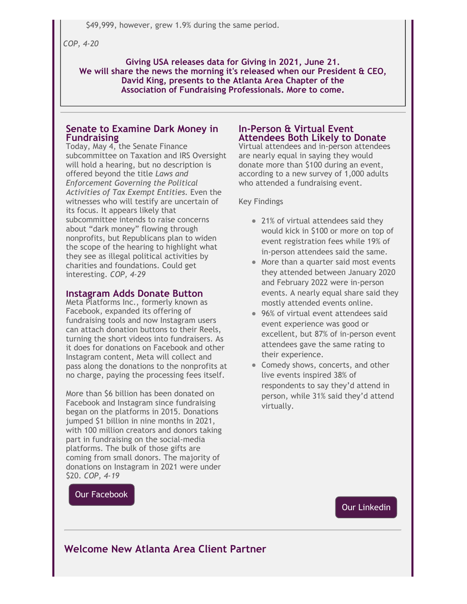\$49,999, however, grew 1.9% during the same period.

*COP, 4-20*

**Giving USA releases data for Giving in 2021, June 21. We will share the news the morning it's released when our President & CEO, David King, presents to the Atlanta Area Chapter of the Association of Fundraising Professionals. More to come.**

#### **Senate to Examine Dark Money in Fundraising**

Today, May 4, the Senate Finance subcommittee on Taxation and IRS Oversight will hold a hearing, but no description is offered beyond the title *Laws and Enforcement Governing the Political Activities of Tax Exempt Entities.* Even the witnesses who will testify are uncertain of its focus. It appears likely that subcommittee intends to raise concerns about "dark money" flowing through nonprofits, but Republicans plan to widen the scope of the hearing to highlight what they see as illegal political activities by charities and foundations. Could get interesting. *COP, 4-29*

#### **Instagram Adds Donate Button**

Meta Platforms Inc., formerly known as Facebook, expanded its offering of fundraising tools and now Instagram users can attach donation buttons to their Reels, turning the short videos into fundraisers. As it does for donations on Facebook and other Instagram content, Meta will collect and pass along the donations to the nonprofits at no charge, paying the processing fees itself.

More than \$6 billion has been donated on Facebook and Instagram since fundraising began on the platforms in 2015. Donations jumped \$1 billion in nine months in 2021, with 100 million creators and donors taking part in fundraising on the social-media platforms. The bulk of those gifts are coming from small donors. The majority of donations on Instagram in 2021 were under \$20. *COP, 4-19*

#### **In-Person & Virtual Event Attendees Both Likely to Donate**

Virtual attendees and in-person attendees are nearly equal in saying they would donate more than \$100 during an event, according to a new survey of 1,000 adults who attended a fundraising event.

#### Key Findings

- 21% of virtual attendees said they would kick in \$100 or more on top of event registration fees while 19% of in-person attendees said the same.
- More than a quarter said most events they attended between January 2020 and February 2022 were in-person events. A nearly equal share said they mostly attended events online.
- 96% of virtual event attendees said event experience was good or excellent, but 87% of in-person event attendees gave the same rating to their experience.
- Comedy shows, concerts, and other live events inspired 38% of respondents to say they'd attend in person, while 31% said they'd attend virtually.

[Our Facebook](https://cl.exct.net/?qs=b19eb9ffc0b5df491c313a0c4c64edf464acc247901f4f0f203f848ebac23f316748db100f2477fdfb4c7bfc45ce075b)

[Our Linkedin](https://cl.exct.net/?qs=b19eb9ffc0b5df49a03012f42e12911ce3908287ca6c01177cc1adc35587018acf215a80d700a72785e4256b66e3a935)

### **Welcome New Atlanta Area Client Partner**